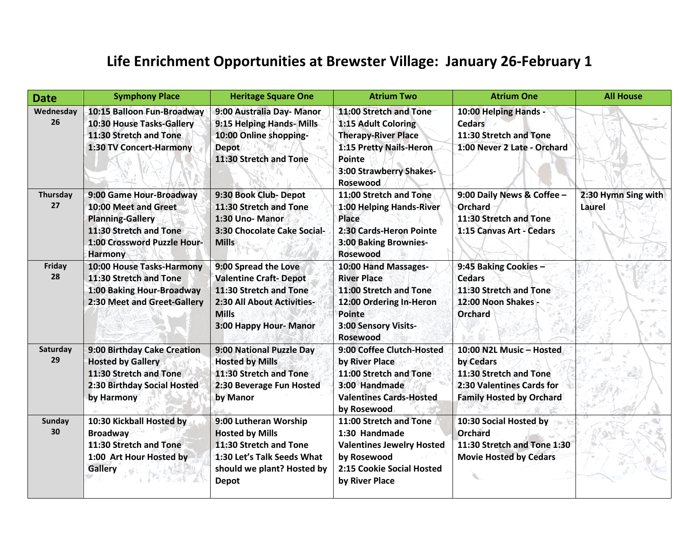## **Life Enrichment Opportunities at Brewster Village: January 26-February 1**

| <b>Date</b>         | <b>Symphony Place</b>                                                                                                                                 | <b>Heritage Square One</b>                                                                                                                                    | <b>Atrium Two</b>                                                                                                                                              | <b>Atrium One</b>                                                                                                               | <b>All House</b>              |
|---------------------|-------------------------------------------------------------------------------------------------------------------------------------------------------|---------------------------------------------------------------------------------------------------------------------------------------------------------------|----------------------------------------------------------------------------------------------------------------------------------------------------------------|---------------------------------------------------------------------------------------------------------------------------------|-------------------------------|
| Wednesday<br>26     | 10:15 Balloon Fun-Broadway<br>10:30 House Tasks-Gallery<br>11:30 Stretch and Tone<br>1:30 TV Concert-Harmony                                          | 9:00 Australia Day- Manor<br>9:15 Helping Hands- Mills<br>10:00 Online shopping-<br><b>Depot</b><br>11:30 Stretch and Tone                                    | 11:00 Stretch and Tone<br>1:15 Adult Coloring<br><b>Therapy-River Place</b><br>1:15 Pretty Nails-Heron<br>Pointe<br>3:00 Strawberry Shakes-<br><b>Rosewood</b> | 10:00 Helping Hands -<br><b>Cedars</b><br>11:30 Stretch and Tone<br>1:00 Never 2 Late - Orchard                                 |                               |
| Thursday<br>27      | 9:00 Game Hour-Broadway<br>10:00 Meet and Greet<br><b>Planning-Gallery</b><br>11:30 Stretch and Tone<br>1:00 Crossword Puzzle Hour-<br><b>Harmony</b> | 9:30 Book Club- Depot<br>11:30 Stretch and Tone<br>1:30 Uno- Manor<br>3:30 Chocolate Cake Social-<br><b>Mills</b>                                             | 11:00 Stretch and Tone<br>1:00 Helping Hands-River<br>Place<br>2:30 Cards-Heron Pointe<br>3:00 Baking Brownies-<br><b>Rosewood</b>                             | 9:00 Daily News & Coffee -<br>Orchard<br>11:30 Stretch and Tone<br>1:15 Canvas Art - Cedars                                     | 2:30 Hymn Sing with<br>Laurel |
| Friday<br>28        | 10:00 House Tasks-Harmony<br>11:30 Stretch and Tone<br>1:00 Baking Hour-Broadway<br>2:30 Meet and Greet-Gallery                                       | 9:00 Spread the Love<br><b>Valentine Craft-Depot</b><br>11:30 Stretch and Tone<br><b>2:30 All About Activities-</b><br><b>Mills</b><br>3:00 Happy Hour- Manor | 10:00 Hand Massages-<br><b>River Place</b><br>11:00 Stretch and Tone<br>12:00 Ordering In-Heron<br><b>Pointe</b><br>3:00 Sensory Visits-<br><b>Rosewood</b>    | 9:45 Baking Cookies -<br><b>Cedars</b><br>11:30 Stretch and Tone<br>12:00 Noon Shakes<br><b>Orchard</b>                         |                               |
| Saturday<br>29      | 9:00 Birthday Cake Creation<br><b>Hosted by Gallery</b><br>11:30 Stretch and Tone<br>2:30 Birthday Social Hosted<br>by Harmony                        | 9:00 National Puzzle Day<br><b>Hosted by Mills</b><br>11:30 Stretch and Tone<br>2:30 Beverage Fun Hosted<br>by Manor                                          | 9:00 Coffee Clutch-Hosted<br>by River Place<br>11:00 Stretch and Tone<br>3:00 Handmade<br><b>Valentines Cards-Hosted</b><br>by Rosewood                        | 10:00 N2L Music - Hosted<br>by Cedars<br>11:30 Stretch and Tone<br>2:30 Valentines Cards for<br><b>Family Hosted by Orchard</b> |                               |
| <b>Sunday</b><br>30 | 10:30 Kickball Hosted by<br><b>Broadway</b><br>11:30 Stretch and Tone<br>1:00 Art Hour Hosted by<br><b>Gallery</b>                                    | 9:00 Lutheran Worship<br><b>Hosted by Mills</b><br>11:30 Stretch and Tone<br>1:30 Let's Talk Seeds What<br>should we plant? Hosted by<br><b>Depot</b>         | 11:00 Stretch and Tone<br>1:30 Handmade<br><b>Valentines Jewelry Hosted</b><br>by Rosewood<br>2:15 Cookie Social Hosted<br>by River Place                      | 10:30 Social Hosted by<br>Orchard<br>11:30 Stretch and Tone 1:30<br><b>Movie Hosted by Cedars</b>                               |                               |